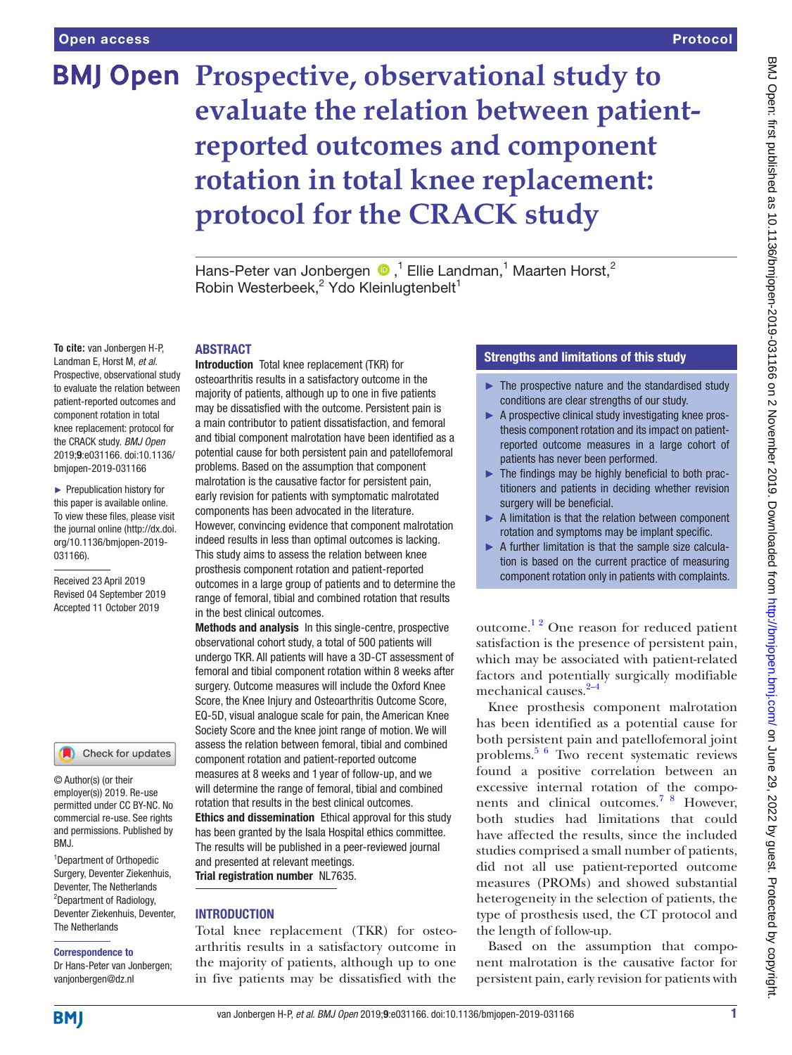# **BMJ Open Prospective, observational study to evaluate the relation between patientreported outcomes and component rotation in total knee replacement: protocol for the CRACK study**

Hans-Peter van Jonbergen  $\bigcirc$ ,<sup>1</sup> Ellie Landman,<sup>1</sup> Maarten Horst,<sup>2</sup> Robin Westerbeek,<sup>2</sup> Ydo Kleinlugtenbelt<sup>1</sup>

#### **ABSTRACT**

**To cite:** van Jonbergen H-P, Landman E, Horst M, *et al*. Prospective, observational study to evaluate the relation between patient-reported outcomes and component rotation in total knee replacement: protocol for the CRACK study. *BMJ Open* 2019;9:e031166. doi:10.1136/ bmjopen-2019-031166

► Prepublication history for this paper is available online. To view these files, please visit the journal online (http://dx.doi. org/10.1136/bmjopen-2019- 031166).

Received 23 April 2019 Revised 04 September 2019 Accepted 11 October 2019

Check for updates

© Author(s) (or their employer(s)) 2019. Re-use permitted under CC BY-NC. No commercial re-use. See rights and permissions. Published by BMJ.

1 Department of Orthopedic Surgery, Deventer Ziekenhuis, Deventer, The Netherlands 2 Department of Radiology, Deventer Ziekenhuis, Deventer, The Netherlands

#### Correspondence to

Dr Hans-Peter van Jonbergen; vanjonbergen@dz.nl

Introduction Total knee replacement (TKR) for osteoarthritis results in a satisfactory outcome in the majority of patients, although up to one in five patients may be dissatisfied with the outcome. Persistent pain is a main contributor to patient dissatisfaction, and femoral and tibial component malrotation have been identified as a potential cause for both persistent pain and patellofemoral problems. Based on the assumption that component malrotation is the causative factor for persistent pain, early revision for patients with symptomatic malrotated components has been advocated in the literature. However, convincing evidence that component malrotation indeed results in less than optimal outcomes is lacking. This study aims to assess the relation between knee prosthesis component rotation and patient-reported outcomes in a large group of patients and to determine the range of femoral, tibial and combined rotation that results in the best clinical outcomes.

Methods and analysis In this single-centre, prospective observational cohort study, a total of 500 patients will undergo TKR. All patients will have a 3D-CT assessment of femoral and tibial component rotation within 8 weeks after surgery. Outcome measures will include the Oxford Knee Score, the Knee Injury and Osteoarthritis Outcome Score, EQ-5D, visual analogue scale for pain, the American Knee Society Score and the knee joint range of motion. We will assess the relation between femoral, tibial and combined component rotation and patient-reported outcome measures at 8 weeks and 1 year of follow-up, and we will determine the range of femoral, tibial and combined rotation that results in the best clinical outcomes. Ethics and dissemination Ethical approval for this study has been granted by the Isala Hospital ethics committee. The results will be published in a peer-reviewed journal and presented at relevant meetings. Trial registration number NL7635.

#### **INTRODUCTION**

Total knee replacement (TKR) for osteoarthritis results in a satisfactory outcome in the majority of patients, although up to one in five patients may be dissatisfied with the

### Strengths and limitations of this study

- $\blacktriangleright$  The prospective nature and the standardised study conditions are clear strengths of our study.
- ► A prospective clinical study investigating knee prosthesis component rotation and its impact on patientreported outcome measures in a large cohort of patients has never been performed.
- $\blacktriangleright$  The findings may be highly beneficial to both practitioners and patients in deciding whether revision surgery will be beneficial.
- ► A limitation is that the relation between component rotation and symptoms may be implant specific.
- ► A further limitation is that the sample size calculation is based on the current practice of measuring component rotation only in patients with complaints.

outcome[.1 2](#page-2-0) One reason for reduced patient satisfaction is the presence of persistent pain, which may be associated with patient-related factors and potentially surgically modifiable mechanical causes. $2-4$ 

Knee prosthesis component malrotation has been identified as a potential cause for both persistent pain and patellofemoral joint problems.[5 6](#page-2-2) Two recent systematic reviews found a positive correlation between an excessive internal rotation of the components and clinical outcomes.[7 8](#page-3-0) However, both studies had limitations that could have affected the results, since the included studies comprised a small number of patients, did not all use patient-reported outcome measures (PROMs) and showed substantial heterogeneity in the selection of patients, the type of prosthesis used, the CT protocol and the length of follow-up.

Based on the assumption that component malrotation is the causative factor for persistent pain, early revision for patients with

**BMI**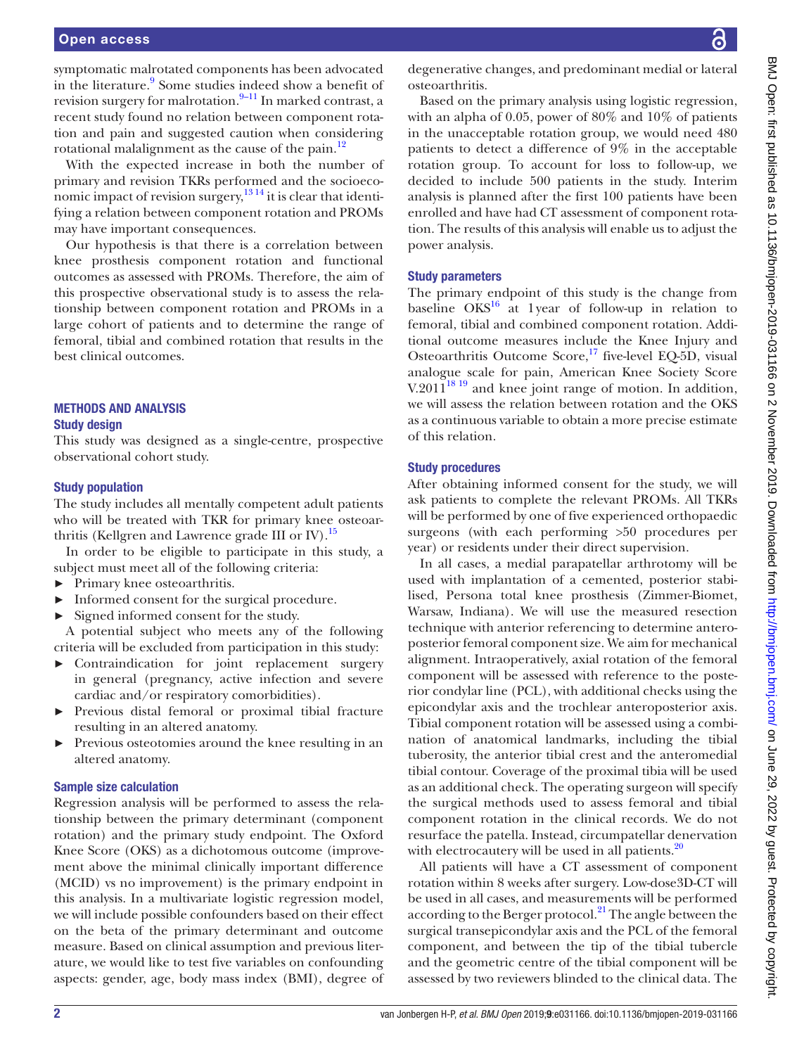symptomatic malrotated components has been advocated in the literature.<sup>[9](#page-3-1)</sup> Some studies indeed show a benefit of revision surgery for malrotation.<sup>9–11</sup> In marked contrast, a recent study found no relation between component rotation and pain and suggested caution when considering rotational malalignment as the cause of the pain. $^{12}$ 

With the expected increase in both the number of primary and revision TKRs performed and the socioeconomic impact of revision surgery, $1314$  it is clear that identifying a relation between component rotation and PROMs may have important consequences.

Our hypothesis is that there is a correlation between knee prosthesis component rotation and functional outcomes as assessed with PROMs. Therefore, the aim of this prospective observational study is to assess the relationship between component rotation and PROMs in a large cohort of patients and to determine the range of femoral, tibial and combined rotation that results in the best clinical outcomes.

# Methods and analysis

# Study design

This study was designed as a single-centre, prospective observational cohort study.

#### Study population

The study includes all mentally competent adult patients who will be treated with TKR for primary knee osteoarthritis (Kellgren and Lawrence grade III or IV). $^{15}$  $^{15}$  $^{15}$ 

In order to be eligible to participate in this study, a subject must meet all of the following criteria:

- ► Primary knee osteoarthritis.
- Informed consent for the surgical procedure.
- ► Signed informed consent for the study.

A potential subject who meets any of the following criteria will be excluded from participation in this study:

- ► Contraindication for joint replacement surgery in general (pregnancy, active infection and severe cardiac and/or respiratory comorbidities).
- ► Previous distal femoral or proximal tibial fracture resulting in an altered anatomy.
- ► Previous osteotomies around the knee resulting in an altered anatomy.

#### Sample size calculation

Regression analysis will be performed to assess the relationship between the primary determinant (component rotation) and the primary study endpoint. The Oxford Knee Score (OKS) as a dichotomous outcome (improvement above the minimal clinically important difference (MCID) vs no improvement) is the primary endpoint in this analysis. In a multivariate logistic regression model, we will include possible confounders based on their effect on the beta of the primary determinant and outcome measure. Based on clinical assumption and previous literature, we would like to test five variables on confounding aspects: gender, age, body mass index (BMI), degree of degenerative changes, and predominant medial or lateral osteoarthritis.

Based on the primary analysis using logistic regression, with an alpha of 0.05, power of 80% and 10% of patients in the unacceptable rotation group, we would need 480 patients to detect a difference of 9% in the acceptable rotation group. To account for loss to follow-up, we decided to include 500 patients in the study. Interim analysis is planned after the first 100 patients have been enrolled and have had CT assessment of component rotation. The results of this analysis will enable us to adjust the power analysis.

#### Study parameters

The primary endpoint of this study is the change from baseline  $OKS^{16}$  at 1year of follow-up in relation to femoral, tibial and combined component rotation. Additional outcome measures include the Knee Injury and Osteoarthritis Outcome Score,<sup>17</sup> five-level EQ-5D, visual analogue scale for pain, American Knee Society Score V.2011<sup>18 19</sup> and knee joint range of motion. In addition, we will assess the relation between rotation and the OKS as a continuous variable to obtain a more precise estimate of this relation.

#### Study procedures

After obtaining informed consent for the study, we will ask patients to complete the relevant PROMs. All TKRs will be performed by one of five experienced orthopaedic surgeons (with each performing >50 procedures per year) or residents under their direct supervision.

In all cases, a medial parapatellar arthrotomy will be used with implantation of a cemented, posterior stabilised, Persona total knee prosthesis (Zimmer-Biomet, Warsaw, Indiana). We will use the measured resection technique with anterior referencing to determine anteroposterior femoral component size. We aim for mechanical alignment. Intraoperatively, axial rotation of the femoral component will be assessed with reference to the posterior condylar line (PCL), with additional checks using the epicondylar axis and the trochlear anteroposterior axis. Tibial component rotation will be assessed using a combination of anatomical landmarks, including the tibial tuberosity, the anterior tibial crest and the anteromedial tibial contour. Coverage of the proximal tibia will be used as an additional check. The operating surgeon will specify the surgical methods used to assess femoral and tibial component rotation in the clinical records. We do not resurface the patella. Instead, circumpatellar denervation with electrocautery will be used in all patients. $20$ 

All patients will have a CT assessment of component rotation within 8 weeks after surgery. Low-dose3D-CT will be used in all cases, and measurements will be performed according to the Berger protocol. $^{21}$  $^{21}$  $^{21}$  The angle between the surgical transepicondylar axis and the PCL of the femoral component, and between the tip of the tibial tubercle and the geometric centre of the tibial component will be assessed by two reviewers blinded to the clinical data. The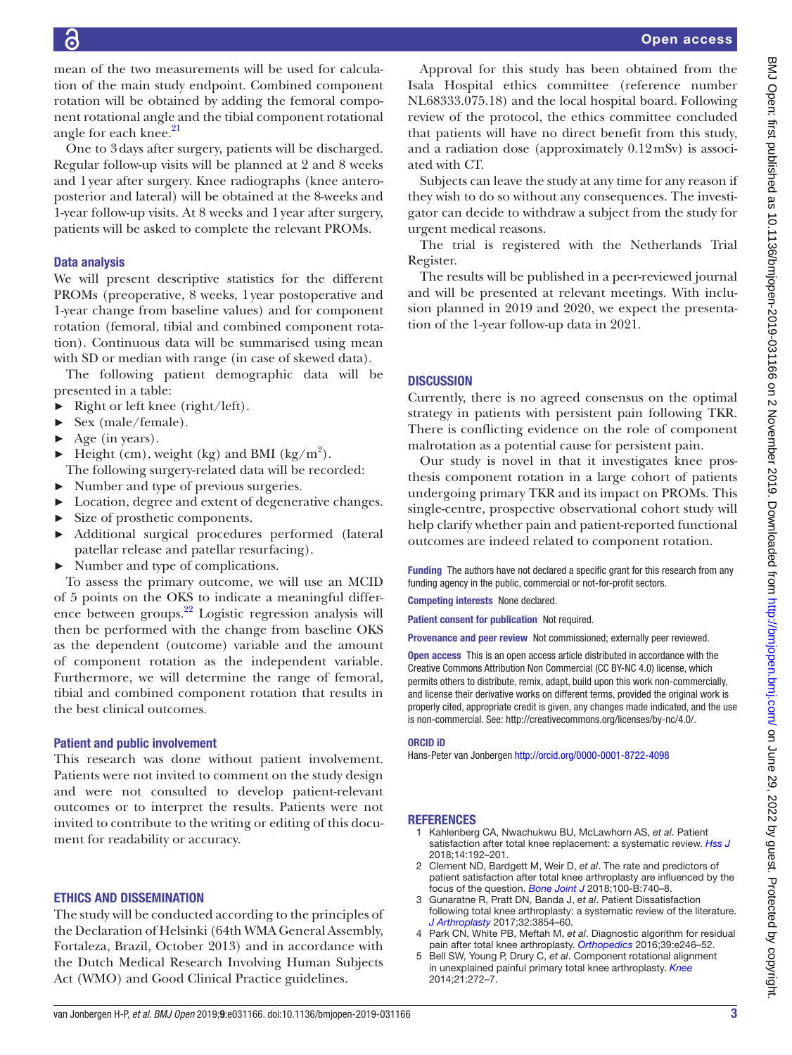mean of the two measurements will be used for calculation of the main study endpoint. Combined component rotation will be obtained by adding the femoral component rotational angle and the tibial component rotational angle for each knee. $21$ 

One to 3days after surgery, patients will be discharged. Regular follow-up visits will be planned at 2 and 8 weeks and 1year after surgery. Knee radiographs (knee anteroposterior and lateral) will be obtained at the 8-weeks and 1-year follow-up visits. At 8 weeks and 1year after surgery, patients will be asked to complete the relevant PROMs.

### Data analysis

We will present descriptive statistics for the different PROMs (preoperative, 8 weeks, 1year postoperative and 1-year change from baseline values) and for component rotation (femoral, tibial and combined component rotation). Continuous data will be summarised using mean with SD or median with range (in case of skewed data).

The following patient demographic data will be presented in a table:

- ► Right or left knee (right/left).
- $\blacktriangleright$  Sex (male/female).
- $\blacktriangleright$  Age (in years).
- $\blacktriangleright$  Height (cm), weight (kg) and BMI (kg/m<sup>2</sup>).

The following surgery-related data will be recorded: ► Number and type of previous surgeries.

- 
- Location, degree and extent of degenerative changes.
- Size of prosthetic components.
- ► Additional surgical procedures performed (lateral patellar release and patellar resurfacing).
- Number and type of complications.

To assess the primary outcome, we will use an MCID of 5 points on the OKS to indicate a meaningful difference between groups.[22](#page-3-10) Logistic regression analysis will then be performed with the change from baseline OKS as the dependent (outcome) variable and the amount of component rotation as the independent variable. Furthermore, we will determine the range of femoral, tibial and combined component rotation that results in the best clinical outcomes.

#### Patient and public involvement

This research was done without patient involvement. Patients were not invited to comment on the study design and were not consulted to develop patient-relevant outcomes or to interpret the results. Patients were not invited to contribute to the writing or editing of this document for readability or accuracy.

#### Ethics and dissemination

The study will be conducted according to the principles of the Declaration of Helsinki (64th WMA General Assembly, Fortaleza, Brazil, October 2013) and in accordance with the Dutch Medical Research Involving Human Subjects Act (WMO) and Good Clinical Practice guidelines.

Approval for this study has been obtained from the Isala Hospital ethics committee (reference number NL68333.075.18) and the local hospital board. Following review of the protocol, the ethics committee concluded that patients will have no direct benefit from this study, and a radiation dose (approximately 0.12mSv) is associated with CT.

Subjects can leave the study at any time for any reason if they wish to do so without any consequences. The investigator can decide to withdraw a subject from the study for urgent medical reasons.

The trial is registered with the Netherlands Trial Register.

The results will be published in a peer-reviewed journal and will be presented at relevant meetings. With inclusion planned in 2019 and 2020, we expect the presentation of the 1-year follow-up data in 2021.

## **DISCUSSION**

Currently, there is no agreed consensus on the optimal strategy in patients with persistent pain following TKR. There is conflicting evidence on the role of component malrotation as a potential cause for persistent pain.

Our study is novel in that it investigates knee prosthesis component rotation in a large cohort of patients undergoing primary TKR and its impact on PROMs. This single-centre, prospective observational cohort study will help clarify whether pain and patient-reported functional outcomes are indeed related to component rotation.

Funding The authors have not declared a specific grant for this research from any funding agency in the public, commercial or not-for-profit sectors.

Competing interests None declared.

Patient consent for publication Not required.

Provenance and peer review Not commissioned; externally peer reviewed.

Open access This is an open access article distributed in accordance with the Creative Commons Attribution Non Commercial (CC BY-NC 4.0) license, which permits others to distribute, remix, adapt, build upon this work non-commercially, and license their derivative works on different terms, provided the original work is properly cited, appropriate credit is given, any changes made indicated, and the use is non-commercial. See: [http://creativecommons.org/licenses/by-nc/4.0/.](http://creativecommons.org/licenses/by-nc/4.0/)

#### ORCID iD

Hans-Peter van Jonbergen<http://orcid.org/0000-0001-8722-4098>

#### **REFERENCES**

- <span id="page-2-0"></span>1 Kahlenberg CA, Nwachukwu BU, McLawhorn AS, *et al*. Patient satisfaction after total knee replacement: a systematic review. *[Hss J](http://dx.doi.org/10.1007/s11420-018-9614-8)* 2018;14:192–201.
- <span id="page-2-1"></span>2 Clement ND, Bardgett M, Weir D, *et al*. The rate and predictors of patient satisfaction after total knee arthroplasty are influenced by the focus of the question. *[Bone Joint J](http://dx.doi.org/10.1302/0301-620X.100B6.BJJ-2017-1292.R1)* 2018;100-B:740–8.
- 3 Gunaratne R, Pratt DN, Banda J, *et al*. Patient Dissatisfaction following total knee arthroplasty: a systematic review of the literature. *[J Arthroplasty](http://dx.doi.org/10.1016/j.arth.2017.07.021)* 2017;32:3854–60.
- 4 Park CN, White PB, Meftah M, *et al*. Diagnostic algorithm for residual pain after total knee arthroplasty. *[Orthopedics](http://dx.doi.org/10.3928/01477447-20160119-06)* 2016;39:e246–52.
- <span id="page-2-2"></span>5 Bell SW, Young P, Drury C, *et al*. Component rotational alignment in unexplained painful primary total knee arthroplasty. *[Knee](http://dx.doi.org/10.1016/j.knee.2012.09.011)* 2014;21:272–7.